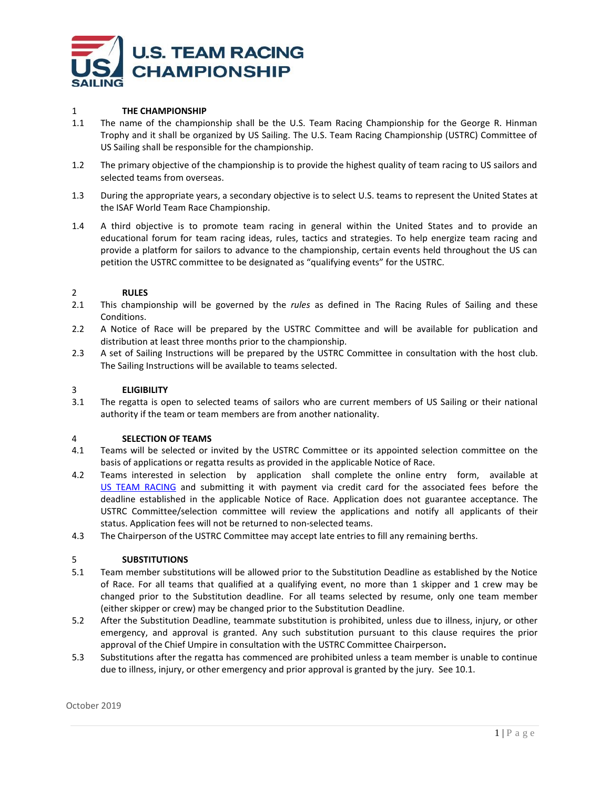

# 1 **THE CHAMPIONSHIP**

- 1.1 The name of the championship shall be the U.S. Team Racing Championship for the George R. Hinman Trophy and it shall be organized by US Sailing. The U.S. Team Racing Championship (USTRC) Committee of US Sailing shall be responsible for the championship.
- 1.2 The primary objective of the championship is to provide the highest quality of team racing to US sailors and selected teams from overseas.
- 1.3 During the appropriate years, a secondary objective is to select U.S. teams to represent the United States at the ISAF World Team Race Championship.
- 1.4 A third objective is to promote team racing in general within the United States and to provide an educational forum for team racing ideas, rules, tactics and strategies. To help energize team racing and provide a platform for sailors to advance to the championship, certain events held throughout the US can petition the USTRC committee to be designated as "qualifying events" for the USTRC.

## 2 **RULES**

- 2.1 This championship will be governed by the *rules* as defined in The Racing Rules of Sailing and these Conditions.
- 2.2 A Notice of Race will be prepared by the USTRC Committee and will be available for publication and distribution at least three months prior to the championship.
- 2.3 A set of Sailing Instructions will be prepared by the USTRC Committee in consultation with the host club. The Sailing Instructions will be available to teams selected.

## 3 **ELIGIBILITY**

3.1 The regatta is open to selected teams of sailors who are current members of US Sailing or their national authority if the team or team members are from another nationality.

### 4 **SELECTION OF TEAMS**

- 4.1 Teams will be selected or invited by the USTRC Committee or its appointed selection committee on the basis of applications or regatta results as provided in the applicable Notice of Race.
- 4.2 Teams interested in selection by application shall complete the online entry form, available at [US TEAM RACING](https://www.ussailing.org/competition/championships/) and submitting it with payment via credit card for the associated fees before the deadline established in the applicable Notice of Race. Application does not guarantee acceptance. The USTRC Committee/selection committee will review the applications and notify all applicants of their status. Application fees will not be returned to non-selected teams.
- 4.3 The Chairperson of the USTRC Committee may accept late entries to fill any remaining berths.

# 5 **SUBSTITUTIONS**

- 5.1 Team member substitutions will be allowed prior to the Substitution Deadline as established by the Notice of Race. For all teams that qualified at a qualifying event, no more than 1 skipper and 1 crew may be changed prior to the Substitution deadline. For all teams selected by resume, only one team member (either skipper or crew) may be changed prior to the Substitution Deadline.
- 5.2 After the Substitution Deadline, teammate substitution is prohibited, unless due to illness, injury, or other emergency, and approval is granted. Any such substitution pursuant to this clause requires the prior approval of the Chief Umpire in consultation with the USTRC Committee Chairperson**.**
- 5.3 Substitutions after the regatta has commenced are prohibited unless a team member is unable to continue due to illness, injury, or other emergency and prior approval is granted by the jury. See 10.1.

October 2019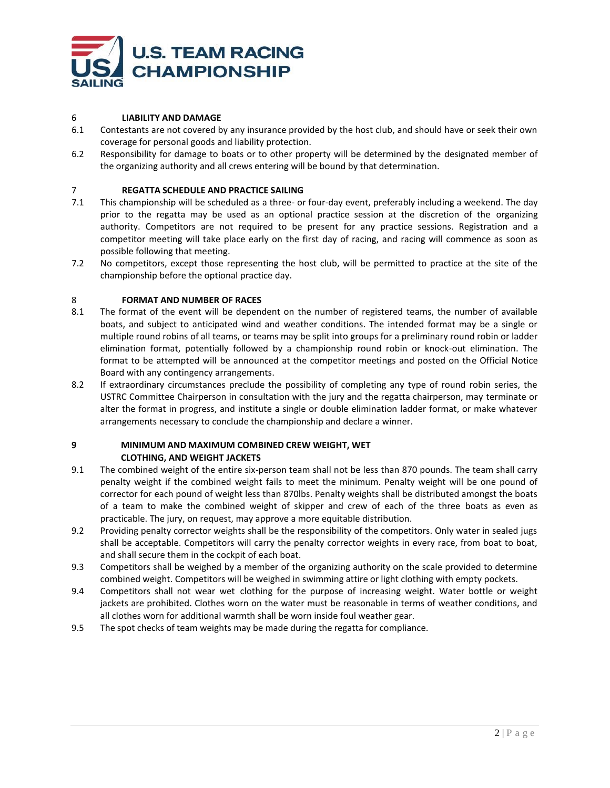

# 6 **LIABILITY AND DAMAGE**

- 6.1 Contestants are not covered by any insurance provided by the host club, and should have or seek their own coverage for personal goods and liability protection.
- 6.2 Responsibility for damage to boats or to other property will be determined by the designated member of the organizing authority and all crews entering will be bound by that determination.

# 7 **REGATTA SCHEDULE AND PRACTICE SAILING**

- 7.1 This championship will be scheduled as a three- or four-day event, preferably including a weekend. The day prior to the regatta may be used as an optional practice session at the discretion of the organizing authority. Competitors are not required to be present for any practice sessions. Registration and a competitor meeting will take place early on the first day of racing, and racing will commence as soon as possible following that meeting.
- 7.2 No competitors, except those representing the host club, will be permitted to practice at the site of the championship before the optional practice day.

# 8 **FORMAT AND NUMBER OF RACES**

- 8.1 The format of the event will be dependent on the number of registered teams, the number of available boats, and subject to anticipated wind and weather conditions. The intended format may be a single or multiple round robins of all teams, or teams may be split into groups for a preliminary round robin or ladder elimination format, potentially followed by a championship round robin or knock-out elimination. The format to be attempted will be announced at the competitor meetings and posted on the Official Notice Board with any contingency arrangements.
- 8.2 If extraordinary circumstances preclude the possibility of completing any type of round robin series, the USTRC Committee Chairperson in consultation with the jury and the regatta chairperson, may terminate or alter the format in progress, and institute a single or double elimination ladder format, or make whatever arrangements necessary to conclude the championship and declare a winner.

# **9 MINIMUM AND MAXIMUM COMBINED CREW WEIGHT, WET CLOTHING, AND WEIGHT JACKETS**

- 9.1 The combined weight of the entire six-person team shall not be less than 870 pounds. The team shall carry penalty weight if the combined weight fails to meet the minimum. Penalty weight will be one pound of corrector for each pound of weight less than 870lbs. Penalty weights shall be distributed amongst the boats of a team to make the combined weight of skipper and crew of each of the three boats as even as practicable. The jury, on request, may approve a more equitable distribution.
- 9.2 Providing penalty corrector weights shall be the responsibility of the competitors. Only water in sealed jugs shall be acceptable. Competitors will carry the penalty corrector weights in every race, from boat to boat, and shall secure them in the cockpit of each boat.
- 9.3 Competitors shall be weighed by a member of the organizing authority on the scale provided to determine combined weight. Competitors will be weighed in swimming attire or light clothing with empty pockets.
- 9.4 Competitors shall not wear wet clothing for the purpose of increasing weight. Water bottle or weight jackets are prohibited. Clothes worn on the water must be reasonable in terms of weather conditions, and all clothes worn for additional warmth shall be worn inside foul weather gear.
- 9.5 The spot checks of team weights may be made during the regatta for compliance.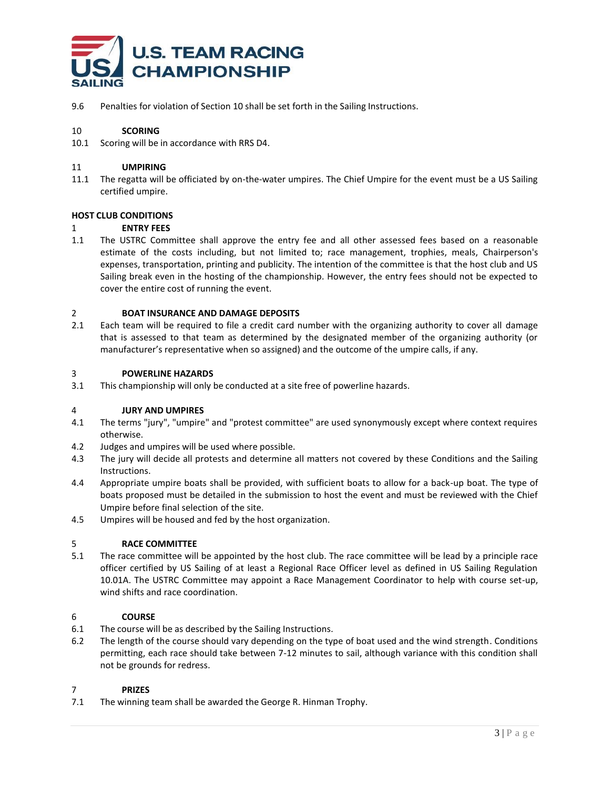

9.6 Penalties for violation of Section 10 shall be set forth in the Sailing Instructions.

# 10 **SCORING**

10.1 Scoring will be in accordance with RRS D4.

### 11 **UMPIRING**

11.1 The regatta will be officiated by on-the-water umpires. The Chief Umpire for the event must be a US Sailing certified umpire.

## **HOST CLUB CONDITIONS**

## 1 **ENTRY FEES**

1.1 The USTRC Committee shall approve the entry fee and all other assessed fees based on a reasonable estimate of the costs including, but not limited to; race management, trophies, meals, Chairperson's expenses, transportation, printing and publicity. The intention of the committee is that the host club and US Sailing break even in the hosting of the championship. However, the entry fees should not be expected to cover the entire cost of running the event.

## 2 **BOAT INSURANCE AND DAMAGE DEPOSITS**

2.1 Each team will be required to file a credit card number with the organizing authority to cover all damage that is assessed to that team as determined by the designated member of the organizing authority (or manufacturer's representative when so assigned) and the outcome of the umpire calls, if any.

### 3 **POWERLINE HAZARDS**

3.1 This championship will only be conducted at a site free of powerline hazards.

### 4 **JURY AND UMPIRES**

- 4.1 The terms "jury", "umpire" and "protest committee" are used synonymously except where context requires otherwise.
- 4.2 Judges and umpires will be used where possible.
- 4.3 The jury will decide all protests and determine all matters not covered by these Conditions and the Sailing Instructions.
- 4.4 Appropriate umpire boats shall be provided, with sufficient boats to allow for a back-up boat. The type of boats proposed must be detailed in the submission to host the event and must be reviewed with the Chief Umpire before final selection of the site.
- 4.5 Umpires will be housed and fed by the host organization.

### 5 **RACE COMMITTEE**

5.1 The race committee will be appointed by the host club. The race committee will be lead by a principle race officer certified by US Sailing of at least a Regional Race Officer level as defined in US Sailing Regulation 10.01A. The USTRC Committee may appoint a Race Management Coordinator to help with course set-up, wind shifts and race coordination.

### 6 **COURSE**

- 6.1 The course will be as described by the Sailing Instructions.
- 6.2 The length of the course should vary depending on the type of boat used and the wind strength. Conditions permitting, each race should take between 7-12 minutes to sail, although variance with this condition shall not be grounds for redress.

### 7 **PRIZES**

7.1 The winning team shall be awarded the George R. Hinman Trophy.